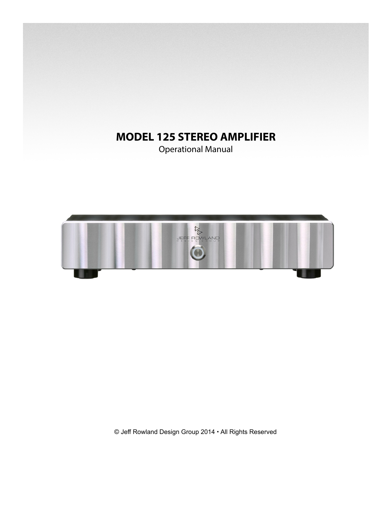# **MODEL 125 STEREO AMPLIFIER**

Operational Manual



© Jeff Rowland Design Group 2014 All Rights Reserved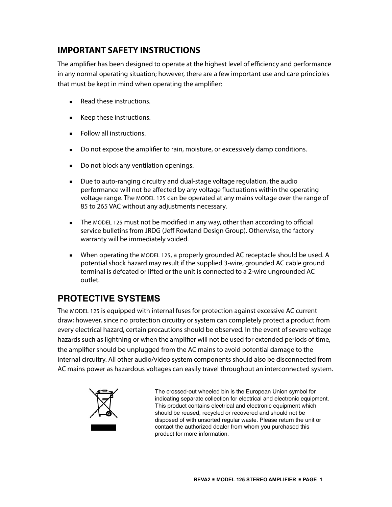## **IMPORTANT SAFETY INSTRUCTIONS**

The amplifier has been designed to operate at the highest level of efficiency and performance in any normal operating situation; however, there are a few important use and care principles that must be kept in mind when operating the amplifier:

- Read these instructions.
- Keep these instructions.
- **Follow all instructions.**
- Do not expose the amplifier to rain, moisture, or excessively damp conditions.
- Do not block any ventilation openings.
- Due to auto-ranging circuitry and dual-stage voltage regulation, the audio performance will not be affected by any voltage fluctuations within the operating voltage range. The MODEL 125 can be operated at any mains voltage over the range of 85 to 265 VAC without any adjustments necessary.
- $\blacksquare$  The MODEL 125 must not be modified in any way, other than according to official service bulletins from JRDG (Jeff Rowland Design Group). Otherwise, the factory warranty will be immediately voided.
- When operating the MODEL 125, a properly grounded AC receptacle should be used. A potential shock hazard may result if the supplied 3-wire, grounded AC cable ground terminal is defeated or lifted or the unit is connected to a 2-wire ungrounded AC outlet.

## **PROTECTIVE SYSTEMS**

The MODEL 125 is equipped with internal fuses for protection against excessive AC current draw; however, since no protection circuitry or system can completely protect a product from every electrical hazard, certain precautions should be observed. In the event of severe voltage hazards such as lightning or when the amplifier will not be used for extended periods of time, the amplifier should be unplugged from the AC mains to avoid potential damage to the internal circuitry. All other audio/video system components should also be disconnected from AC mains power as hazardous voltages can easily travel throughout an interconnected system.



The crossed-out wheeled bin is the European Union symbol for indicating separate collection for electrical and electronic equipment. This product contains electrical and electronic equipment which should be reused, recycled or recovered and should not be disposed of with unsorted regular waste. Please return the unit or contact the authorized dealer from whom you purchased this product for more information.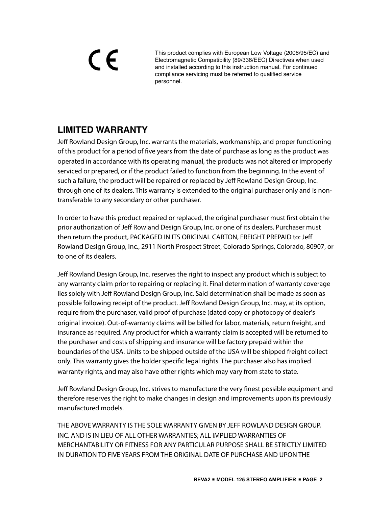# C E

This product complies with European Low Voltage (2006/95/EC) and Electromagnetic Compatibility (89/336/EEC) Directives when used and installed according to this instruction manual. For continued compliance servicing must be referred to qualified service personnel.

## **LIMITED WARRANTY**

Jeff Rowland Design Group, Inc. warrants the materials, workmanship, and proper functioning of this product for a period of five years from the date of purchase as long as the product was operated in accordance with its operating manual, the products was not altered or improperly serviced or prepared, or if the product failed to function from the beginning. In the event of such a failure, the product will be repaired or replaced by Jeff Rowland Design Group, Inc. through one of its dealers. This warranty is extended to the original purchaser only and is nontransferable to any secondary or other purchaser.

In order to have this product repaired or replaced, the original purchaser must first obtain the prior authorization of Jeff Rowland Design Group, Inc. or one of its dealers. Purchaser must then return the product, PACKAGED IN ITS ORIGINAL CARTON, FREIGHT PREPAID to: Jeff Rowland Design Group, Inc., 2911 North Prospect Street, Colorado Springs, Colorado, 80907, or to one of its dealers.

Jeff Rowland Design Group, Inc. reserves the right to inspect any product which is subject to any warranty claim prior to repairing or replacing it. Final determination of warranty coverage lies solely with Jeff Rowland Design Group, Inc. Said determination shall be made as soon as possible following receipt of the product. Jeff Rowland Design Group, Inc. may, at its option, require from the purchaser, valid proof of purchase (dated copy or photocopy of dealer's original invoice). Out-of-warranty claims will be billed for labor, materials, return freight, and insurance as required. Any product for which a warranty claim is accepted will be returned to the purchaser and costs of shipping and insurance will be factory prepaid within the boundaries of the USA. Units to be shipped outside of the USA will be shipped freight collect only. This warranty gives the holder specific legal rights. The purchaser also has implied warranty rights, and may also have other rights which may vary from state to state.

Jeff Rowland Design Group, Inc. strives to manufacture the very finest possible equipment and therefore reserves the right to make changes in design and improvements upon its previously manufactured models.

THE ABOVE WARRANTY IS THE SOLE WARRANTY GIVEN BY JEFF ROWLAND DESIGN GROUP, INC. AND IS IN LIEU OF ALL OTHER WARRANTIES; ALL IMPLIED WARRANTIES OF MERCHANTABILITY OR FITNESS FOR ANY PARTICULAR PURPOSE SHALL BE STRICTLY LIMITED IN DURATION TO FIVE YEARS FROM THE ORIGINAL DATE OF PURCHASE AND UPON THE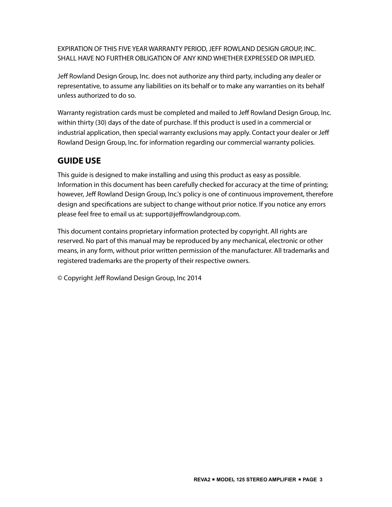EXPIRATION OF THIS FIVE YEAR WARRANTY PERIOD, JEFF ROWLAND DESIGN GROUP, INC. SHALL HAVE NO FURTHER OBLIGATION OF ANY KIND WHETHER EXPRESSED OR IMPLIED.

Jeff Rowland Design Group, Inc. does not authorize any third party, including any dealer or representative, to assume any liabilities on its behalf or to make any warranties on its behalf unless authorized to do so.

Warranty registration cards must be completed and mailed to Jeff Rowland Design Group, Inc. within thirty (30) days of the date of purchase. If this product is used in a commercial or industrial application, then special warranty exclusions may apply. Contact your dealer or Jeff Rowland Design Group, Inc. for information regarding our commercial warranty policies.

## **GUIDE USE**

This guide is designed to make installing and using this product as easy as possible. Information in this document has been carefully checked for accuracy at the time of printing; however, Jeff Rowland Design Group, Inc.'s policy is one of continuous improvement, therefore design and specifications are subject to change without prior notice. If you notice any errors please feel free to email us at: support@jeffrowlandgroup.com.

This document contains proprietary information protected by copyright. All rights are reserved. No part of this manual may be reproduced by any mechanical, electronic or other means, in any form, without prior written permission of the manufacturer. All trademarks and registered trademarks are the property of their respective owners.

© Copyright Jeff Rowland Design Group, Inc 2014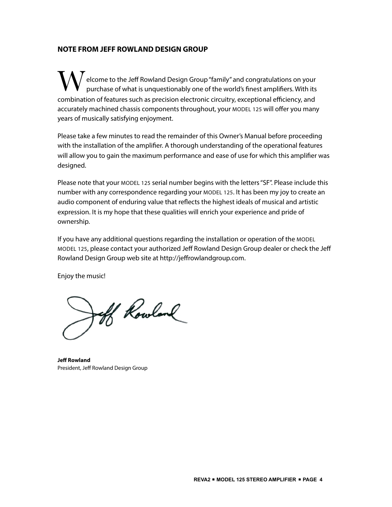#### **NOTE FROM JEFF ROWLAND DESIGN GROUP**

elcome to the Jeff Rowland Design Group "family" and congratulations on your purchase of what is unquestionably one of the world's finest amplifiers. With its combination of features such as precision electronic circuitry, exceptional efficiency, and accurately machined chassis components throughout, your MODEL 125 will offer you many years of musically satisfying enjoyment. W

Please take a few minutes to read the remainder of this Owner's Manual before proceeding with the installation of the amplifier. A thorough understanding of the operational features will allow you to gain the maximum performance and ease of use for which this amplifier was designed.

Please note that your MODEL 125 serial number begins with the letters "SF". Please include this number with any correspondence regarding your MODEL 125. It has been my joy to create an audio component of enduring value that reflects the highest ideals of musical and artistic expression. It is my hope that these qualities will enrich your experience and pride of ownership.

If you have any additional questions regarding the installation or operation of the MODEL MODEL 125, please contact your authorized Jeff Rowland Design Group dealer or check the Jeff Rowland Design Group web site at http://jeffrowlandgroup.com.

Enjoy the music!

off Rowland

**Jeff Rowland** President, Jeff Rowland Design Group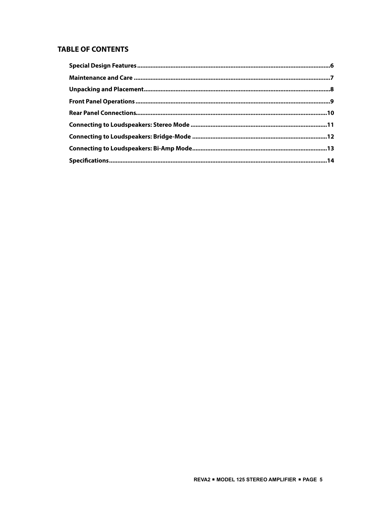#### **TABLE OF CONTENTS**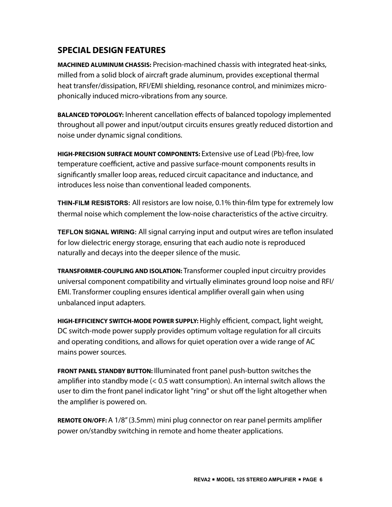#### <span id="page-6-0"></span>**SPECIAL DESIGN FEATURES**

**MACHINED ALUMINUM CHASSIS:** Precision-machined chassis with integrated heat-sinks, milled from a solid block of aircraft grade aluminum, provides exceptional thermal heat transfer/dissipation, RFI/EMI shielding, resonance control, and minimizes microphonically induced micro-vibrations from any source.

**BALANCED TOPOLOGY:** Inherent cancellation effects of balanced topology implemented throughout all power and input/output circuits ensures greatly reduced distortion and noise under dynamic signal conditions.

**HIGH-PRECISION SURFACE MOUNT COMPONENTS:** Extensive use of Lead (Pb)-free, low temperature coefficient, active and passive surface-mount components results in significantly smaller loop areas, reduced circuit capacitance and inductance, and introduces less noise than conventional leaded components.

**THIN-FILM RESISTORS:** All resistors are low noise, 0.1% thin-film type for extremely low thermal noise which complement the low-noise characteristics of the active circuitry.

**TEFLON SIGNAL WIRING:** All signal carrying input and output wires are teflon insulated for low dielectric energy storage, ensuring that each audio note is reproduced naturally and decays into the deeper silence of the music.

**TRANSFORMER-COUPLING AND ISOLATION:** Transformer coupled input circuitry provides universal component compatibility and virtually eliminates ground loop noise and RFI/ EMI. Transformer coupling ensures identical amplifier overall gain when using unbalanced input adapters.

**HIGH-EFFICIENCY SWITCH-MODE POWER SUPPLY:** Highly efficient, compact, light weight, DC switch-mode power supply provides optimum voltage regulation for all circuits and operating conditions, and allows for quiet operation over a wide range of AC mains power sources.

**FRONT PANEL STANDBY BUTTON:** Illuminated front panel push-button switches the amplifier into standby mode  $\leq 0.5$  watt consumption). An internal switch allows the user to dim the front panel indicator light "ring" or shut off the light altogether when the amplifier is powered on.

**REMOTE ON/OFF:** A 1/8" (3.5mm) mini plug connector on rear panel permits amplifier power on/standby switching in remote and home theater applications.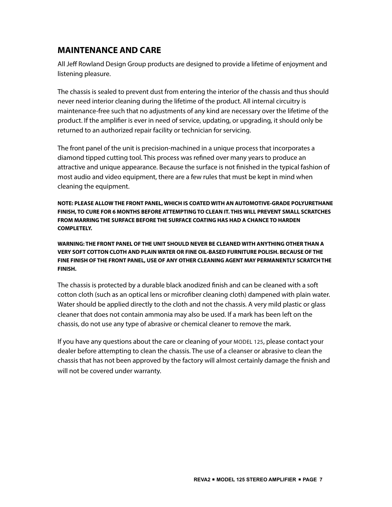#### <span id="page-7-0"></span>**MAINTENANCE AND CARE**

All Jeff Rowland Design Group products are designed to provide a lifetime of enjoyment and listening pleasure.

The chassis is sealed to prevent dust from entering the interior of the chassis and thus should never need interior cleaning during the lifetime of the product. All internal circuitry is maintenance-free such that no adjustments of any kind are necessary over the lifetime of the product. If the amplifier is ever in need of service, updating, or upgrading, it should only be returned to an authorized repair facility or technician for servicing.

The front panel of the unit is precision-machined in a unique process that incorporates a diamond tipped cutting tool. This process was refined over many years to produce an attractive and unique appearance. Because the surface is not finished in the typical fashion of most audio and video equipment, there are a few rules that must be kept in mind when cleaning the equipment.

**NOTE: PLEASE ALLOW THE FRONT PANEL, WHICH IS COATED WITH AN AUTOMOTIVE-GRADE POLYURETHANE FINISH, TO CURE FOR 6 MONTHS BEFORE ATTEMPTING TO CLEAN IT. THIS WILL PREVENT SMALL SCRATCHES FROM MARRING THE SURFACE BEFORE THE SURFACE COATING HAS HAD A CHANCE TO HARDEN COMPLETELY.**

**WARNING: THE FRONT PANEL OF THE UNIT SHOULD NEVER BE CLEANED WITH ANYTHING OTHER THAN A VERY SOFT COTTON CLOTH AND PLAIN WATER OR FINE OIL-BASED FURNITURE POLISH. BECAUSE OF THE FINE FINISH OF THE FRONT PANEL, USE OF ANY OTHER CLEANING AGENT MAY PERMANENTLY SCRATCH THE FINISH.**

The chassis is protected by a durable black anodized finish and can be cleaned with a soft cotton cloth (such as an optical lens or microfiber cleaning cloth) dampened with plain water. Water should be applied directly to the cloth and not the chassis. A very mild plastic or glass cleaner that does not contain ammonia may also be used. If a mark has been left on the chassis, do not use any type of abrasive or chemical cleaner to remove the mark.

If you have any questions about the care or cleaning of your MODEL 125, please contact your dealer before attempting to clean the chassis. The use of a cleanser or abrasive to clean the chassis that has not been approved by the factory will almost certainly damage the finish and will not be covered under warranty.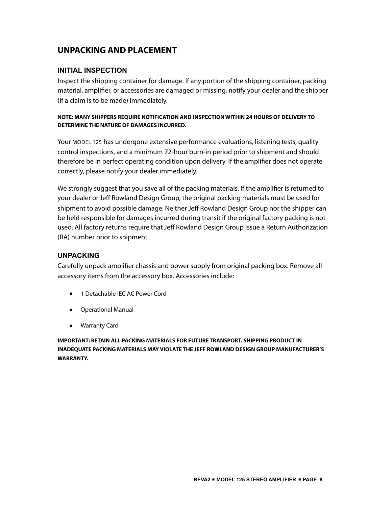#### <span id="page-8-0"></span>**UNPACKING AND PLACEMENT**

#### **INITIAL INSPECTION**

Inspect the shipping container for damage. If any portion of the shipping container, packing material, amplifier, or accessories are damaged or missing, notify your dealer and the shipper (if a claim is to be made) immediately.

#### **NOTE: MANY SHIPPERS REQUIRE NOTIFICATION AND INSPECTION WITHIN 24 HOURS OF DELIVERY TO DETERMINE THE NATURE OF DAMAGES INCURRED.**

Your MODEL 125 has undergone extensive performance evaluations, listening tests, quality control inspections, and a minimum 72-hour burn-in period prior to shipment and should therefore be in perfect operating condition upon delivery. If the amplifier does not operate correctly, please notify your dealer immediately.

We strongly suggest that you save all of the packing materials. If the amplifier is returned to your dealer or Jeff Rowland Design Group, the original packing materials must be used for shipment to avoid possible damage. Neither Jeff Rowland Design Group nor the shipper can be held responsible for damages incurred during transit if the original factory packing is not used. All factory returns require that Jeff Rowland Design Group issue a Return Authorization (RA) number prior to shipment.

#### **UNPACKING**

Carefully unpack amplifier chassis and power supply from original packing box. Remove all accessory items from the accessory box. Accessories include:

- 1 Detachable IEC AC Power Cord
- **Derational Manual**
- **Narranty Card**

**IMPORTANT: RETAIN ALL PACKING MATERIALS FOR FUTURE TRANSPORT. SHIPPING PRODUCT IN INADEQUATE PACKING MATERIALS MAY VIOLATE THE JEFF ROWLAND DESIGN GROUP MANUFACTURER'S WARRANTY.**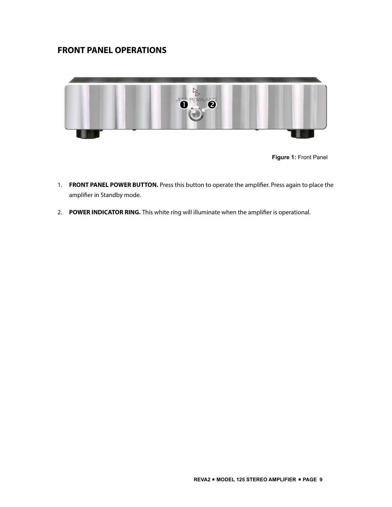#### <span id="page-9-0"></span>**FRONT PANEL OPERATIONS**



**Figure 1:** Front Panel

- 1. **FRONT PANEL POWER BUTTON.** Press this button to operate the amplifier. Press again to place the amplifier in Standby mode.
- 2. **POWER INDICATOR RING.** This white ring will illuminate when the amplifier is operational.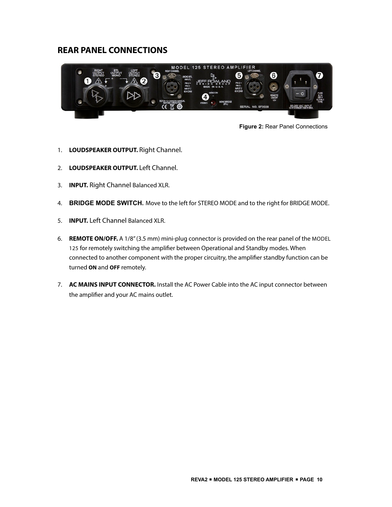#### <span id="page-10-0"></span>**REAR PANEL CONNECTIONS**



**Figure 2:** Rear Panel Connections

- 1. **LOUDSPEAKER OUTPUT.** Right Channel.
- 2. **LOUDSPEAKER OUTPUT.** Left Channel.
- 3. **INPUT.** Right Channel Balanced XLR.
- 4. **BRIDGE MODE SWITCH.** Move to the left for STEREO MODE and to the right for BRIDGE MODE.
- 5. **INPUT.** Left Channel Balanced XLR.
- 6. **REMOTE ON/OFF.** A 1/8" (3.5 mm) mini-plug connector is provided on the rear panel of the MODEL 125 for remotely switching the amplifier between Operational and Standby modes. When connected to another component with the proper circuitry, the amplifier standby function can be turned **ON** and **OFF** remotely.
- 7. **AC MAINS INPUT CONNECTOR.** Install the AC Power Cable into the AC input connector between the amplifier and your AC mains outlet.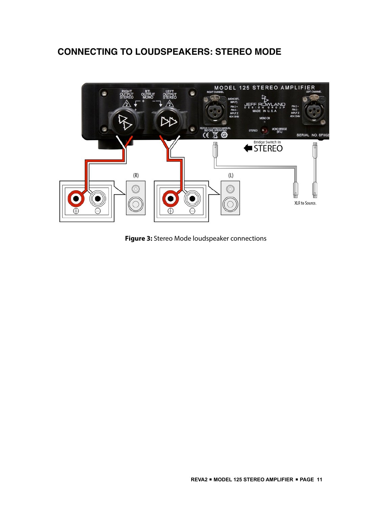## <span id="page-11-0"></span>**CONNECTING TO LOUDSPEAKERS: STEREO MODE**



**Figure 3:** Stereo Mode loudspeaker connections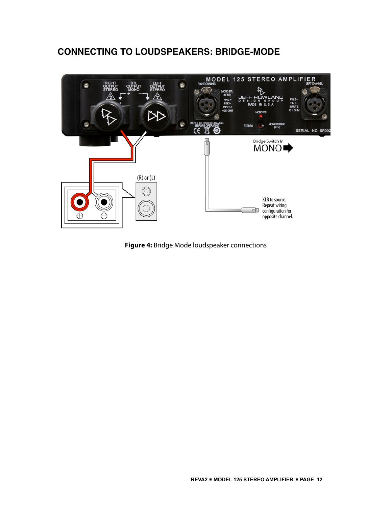## <span id="page-12-0"></span>**CONNECTING TO LOUDSPEAKERS: BRIDGE-MODE**



**Figure 4:** Bridge Mode loudspeaker connections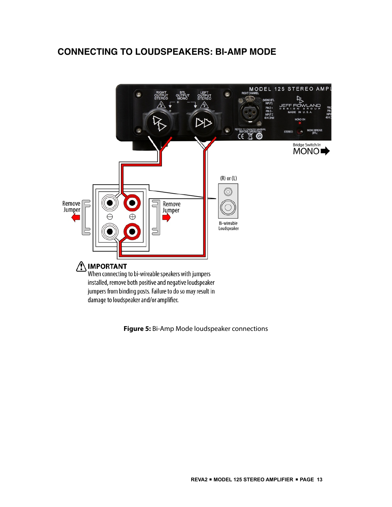#### <span id="page-13-0"></span>**CONNECTING TO LOUDSPEAKERS: BI-AMP MODE**



**Figure 5:** Bi-Amp Mode loudspeaker connections